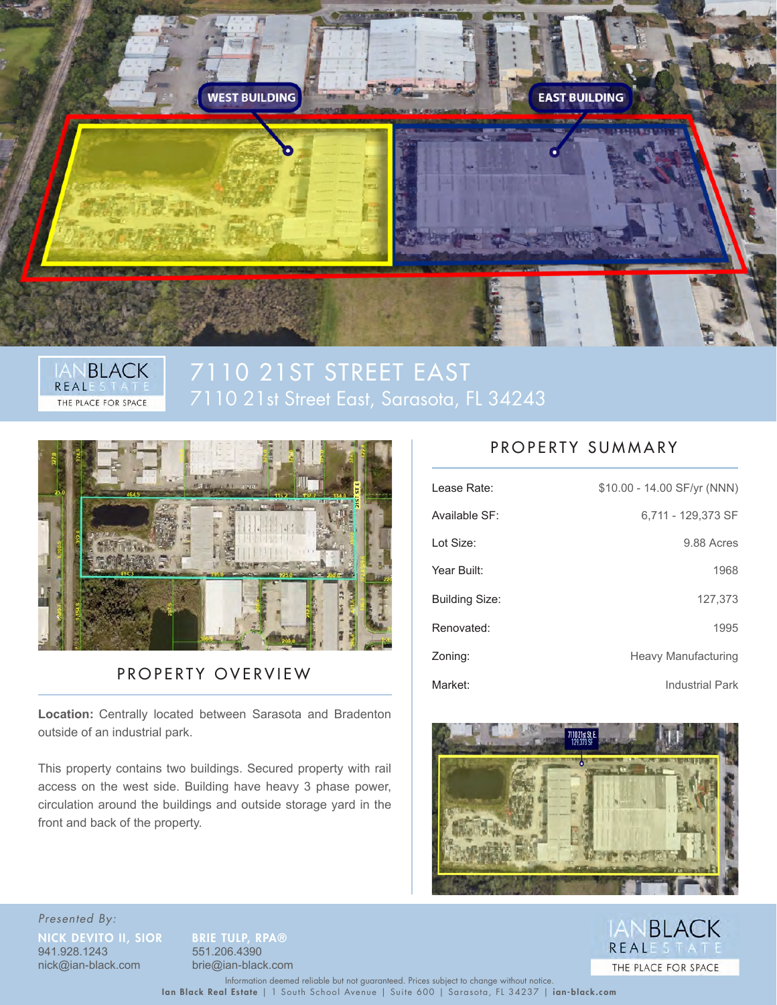



# 7110 21ST STREET EAST 7110 21st Street East, Sarasota, FL 34243



### PROPERTY OVERVIEW

Location: Centrally located between Sarasota and Bradenton outside of an industrial park.

This property contains two buildings. Secured property with rail access on the west side. Building have heavy 3 phase power, circulation around the buildings and outside storage yard in the front and back of the property.

### PROPERTY SUMMARY

| Lease Rate:           | \$10.00 - 14.00 SF/yr (NNN) |
|-----------------------|-----------------------------|
| Available SF:         | 6.711 - 129.373 SF          |
| Lot Size:             | 9.88 Acres                  |
| Year Built:           | 1968                        |
| <b>Building Size:</b> | 127,373                     |
| Renovated:            | 1995                        |
| Zoning:               | <b>Heavy Manufacturing</b>  |
| Market:               | <b>Industrial Park</b>      |



Presented By: **NICK DEVITO II, SIOR BRIE TULP, RPA®**<br>941.928.1243 551.206.4390 nick@ian-black.com brie@ian-black.com

941.928.1243 551.206.4390



Ian Black Real Estate | 1 South School Avenue | Suite 600 | Sarasota, FL 34237 | ian-black.com Information deemed reliable but not guaranteed. Prices subject to change without notice.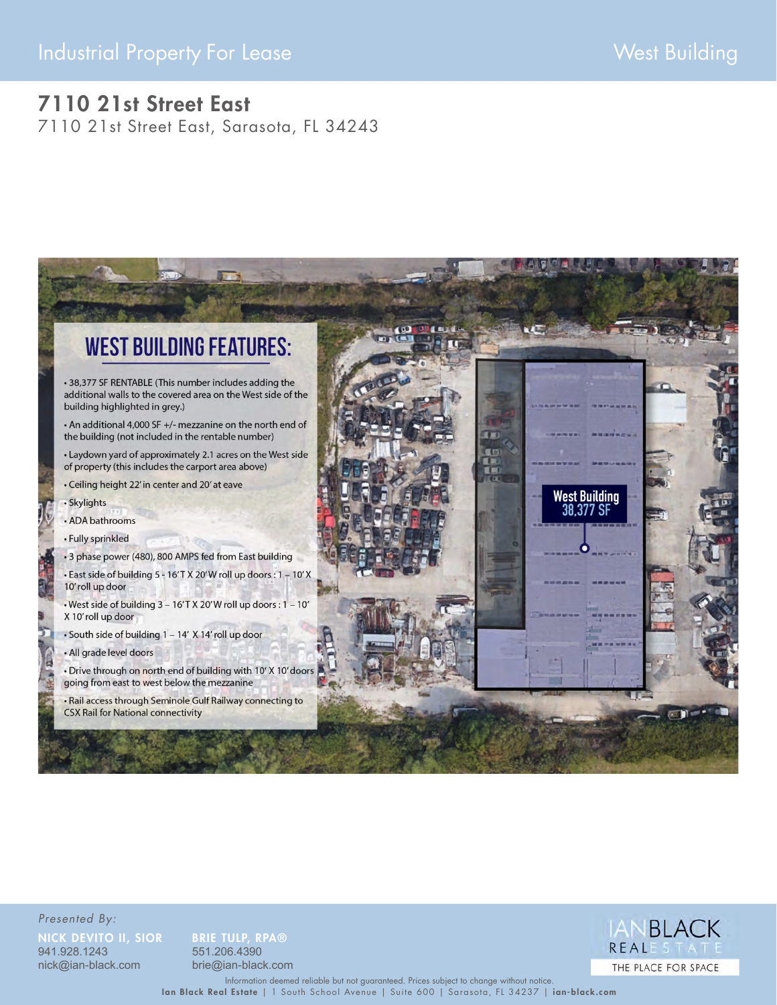# Industrial Property For Lease West Building

## 7110 21st Street East

7110 21st Street East, Sarasota, FL 34243



Presented By: NICK DEVITO II, SIOR BRIE TULP, RPA® 941.928.1243 551.206.4390

nick@ian-black.com brie@ian-black.com



Ian Black Real Estate | 1 South School Avenue | Suite 600 | Sarasota, FL 34237 | ian-black.com Information deemed reliable but not guaranteed. Prices subject to change without notice.